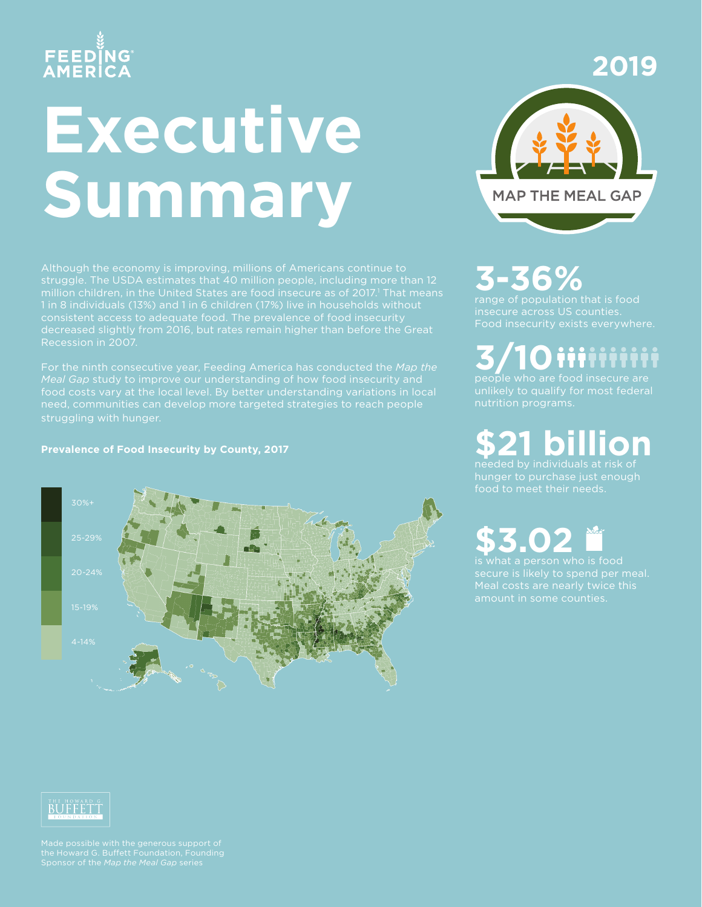## FEEDĬNG<br>AMERICA

# **Executive Summary**

struggle. The USDA estimates that 40 million people, including more than 12 million children, in the United States are food insecure as of 2017.<sup>1</sup> That means decreased slightly from 2016, but rates remain higher than before the Great Recession in 2007.

food costs vary at the local level. By better understanding variations in local need, communities can develop more targeted strategies to reach people struggling with hunger.

#### **Prevalence of Food Insecurity by County, 2017**





### **3-36%**

range of population that is food insecure across US counties. Food insecurity exists everywhere.

**3/10** iiiiiiiii

nutrition programs.

**\$21 billion** needed by individuals at risk of

hunger to purchase just enough

**\$3.02** is what a person who is food

Meal costs are nearly twice this



Made possible with the generous support of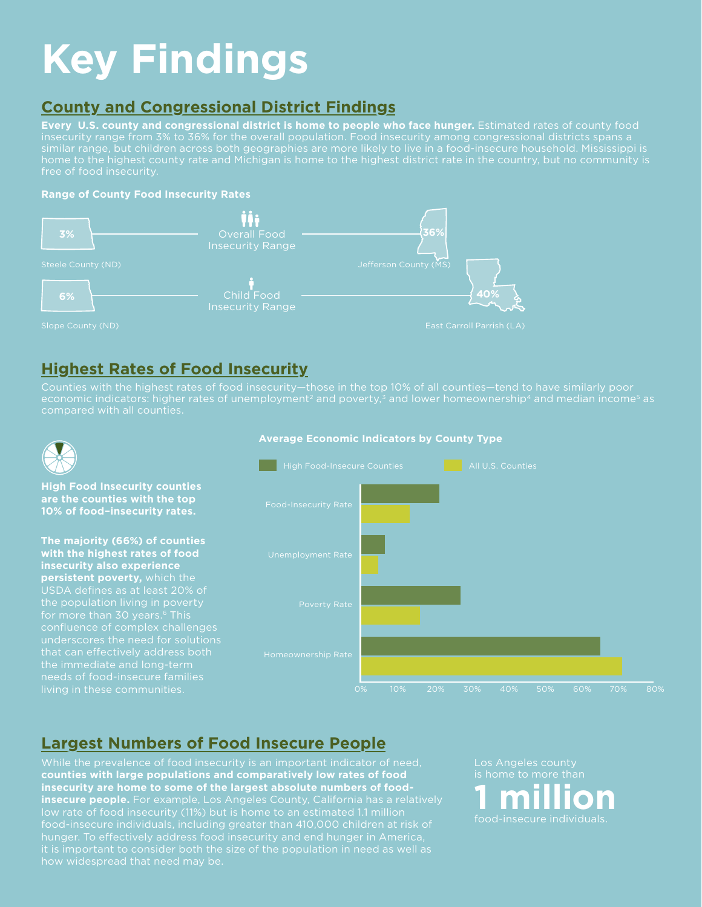### **Key Findings**

#### **County and Congressional District Findings**

**Every U.S. county and congressional district is home to people who face hunger.** Estimated rates of county food insecurity range from 3% to 36% for the overall population. Food insecurity among congressional districts spans a home to the highest county rate and Michigan is home to the highest district rate in the country, but no community is free of food insecurity.

#### **Range of County Food Insecurity Rates**



#### **Highest Rates of Food Insecurity**

Counties with the highest rates of food insecurity—those in the top 10% of all counties—tend to have similarly poor economic indicators: higher rates of unemployment<sup>2</sup> and poverty, $^{\rm 3}$  and lower homeownership<sup>4</sup> and median income<sup>5</sup> as



**High Food Insecurity counties are the counties with the top 10% of food–insecurity rates.**

**The majority (66%) of counties with the highest rates of food insecurity also experience persistent poverty,** which the the population living in poverty for more than 30 years.<sup>6</sup> This that can effectively address both the immediate and long-term

#### **Average Economic Indicators by County Type**



#### **Largest Numbers of Food Insecure People**

**counties with large populations and comparatively low rates of food insecurity are home to some of the largest absolute numbers of foodinsecure people.** For example, Los Angeles County, California has a relatively food-insecure individuals, including greater than 410,000 children at risk of hunger. To effectively address food insecurity and end hunger in America, it is important to consider both the size of the population in need as well as how widespread that need may be.

Los Angeles county **1 million** food-insecure individuals.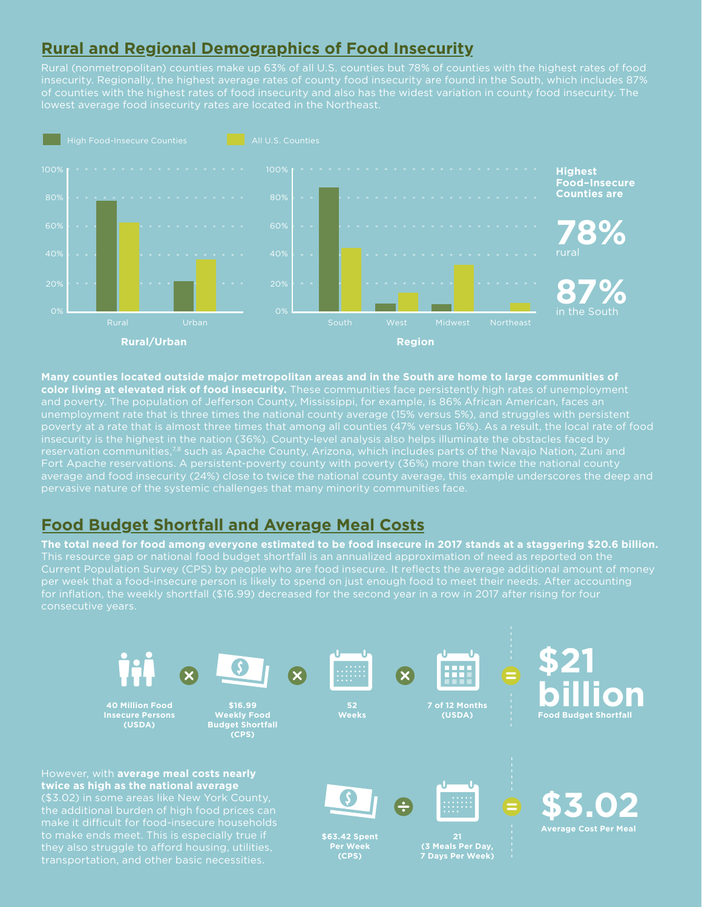#### **Rural and Regional Demographics of Food Insecurity**

Rural (nonmetropolitan) counties make up 63% of all U.S. counties but 78% of counties with the highest rates of food insecurity. Regionally, the highest average rates of county food insecurity are found in the South, which includes 87% of counties with the highest rates of food insecurity and also has the widest variation in county food insecurity. The lowest average food insecurity rates are located in the Northeast.



**Many counties located outside major metropolitan areas and in the South are home to large communities of color living at elevated risk of food insecurity.** These communities face persistently high rates of unemployment and poverty. The population of Jefferson County, Mississippi, for example, is 86% African American, faces an unemployment rate that is three times the national county average (15% versus 5%), and struggles with persistent poverty at a rate that is almost three times that among all counties (47% versus 16%). As a result, the local rate of food average and food insecurity (24%) close to twice the national county average, this example underscores the deep and pervasive nature of the systemic challenges that many minority communities face.

#### **Food Budget Shortfall and Average Meal Costs**

**The total need for food among everyone estimated to be food insecure in 2017 stands at a staggering \$20.6 billion.**  This resource gap or national food budget shortfall is an annualized approximation of need as reported on the for inflation, the weekly shortfall (\$16.99) decreased for the second year in a row in 2017 after rising for four consecutive years.